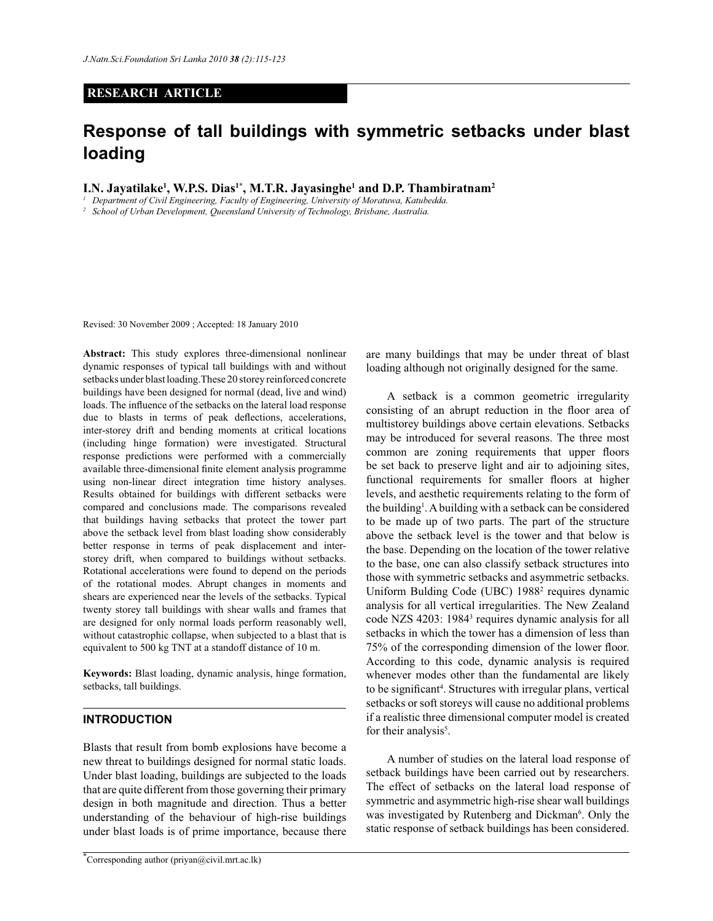## **RESEARCH ARTICLE**

# **Response of tall buildings with symmetric setbacks under blast loading**

**I.N. Jayatilake<sup>1</sup> , W.P.S. Dias1\*, M.T.R. Jayasinghe<sup>1</sup> and D.P. Thambiratnam<sup>2</sup>**

*<sup>1</sup>Department of Civil Engineering, Faculty of Engineering, University of Moratuwa, Katubedda.*

*<sup>2</sup>School of Urban Development, Queensland University of Technology, Brisbane, Australia.*

Revised: 30 November 2009 ; Accepted: 18 January 2010

**Abstract:** This study explores three-dimensional nonlinear dynamic responses of typical tall buildings with and without setbacks under blast loading.These 20 storey reinforced concrete buildings have been designed for normal (dead, live and wind) loads. The influence of the setbacks on the lateral load response due to blasts in terms of peak deflections, accelerations, inter-storey drift and bending moments at critical locations (including hinge formation) were investigated. Structural response predictions were performed with a commercially available three-dimensional finite element analysis programme using non-linear direct integration time history analyses. Results obtained for buildings with different setbacks were compared and conclusions made. The comparisons revealed that buildings having setbacks that protect the tower part above the setback level from blast loading show considerably better response in terms of peak displacement and interstorey drift, when compared to buildings without setbacks. Rotational accelerations were found to depend on the periods of the rotational modes. Abrupt changes in moments and shears are experienced near the levels of the setbacks. Typical twenty storey tall buildings with shear walls and frames that are designed for only normal loads perform reasonably well, without catastrophic collapse, when subjected to a blast that is equivalent to 500 kg TNT at a standoff distance of 10 m.

**Keywords:** Blast loading, dynamic analysis, hinge formation, setbacks, tall buildings.

#### **INTRODUCTION**

Blasts that result from bomb explosions have become a new threat to buildings designed for normal static loads. Under blast loading, buildings are subjected to the loads that are quite different from those governing their primary design in both magnitude and direction. Thus a better understanding of the behaviour of high-rise buildings under blast loads is of prime importance, because there

are many buildings that may be under threat of blast loading although not originally designed for the same.

 A setback is a common geometric irregularity consisting of an abrupt reduction in the floor area of multistorey buildings above certain elevations. Setbacks may be introduced for several reasons. The three most common are zoning requirements that upper floors be set back to preserve light and air to adjoining sites, functional requirements for smaller floors at higher levels, and aesthetic requirements relating to the form of the building<sup>1</sup>. A building with a setback can be considered to be made up of two parts. The part of the structure above the setback level is the tower and that below is the base. Depending on the location of the tower relative to the base, one can also classify setback structures into those with symmetric setbacks and asymmetric setbacks. Uniform Bulding Code (UBC) 1988<sup>2</sup> requires dynamic analysis for all vertical irregularities. The New Zealand code NZS 4203: 1984<sup>3</sup> requires dynamic analysis for all setbacks in which the tower has a dimension of less than 75% of the corresponding dimension of the lower floor. According to this code, dynamic analysis is required whenever modes other than the fundamental are likely to be significant<sup>4</sup>. Structures with irregular plans, vertical setbacks or soft storeys will cause no additional problems if a realistic three dimensional computer model is created for their analysis<sup>5</sup>.

 A number of studies on the lateral load response of setback buildings have been carried out by researchers. The effect of setbacks on the lateral load response of symmetric and asymmetric high-rise shear wall buildings was investigated by Rutenberg and Dickman<sup>6</sup>. Only the static response of setback buildings has been considered.

Corresponding author (priyan@civil.mrt.ac.lk)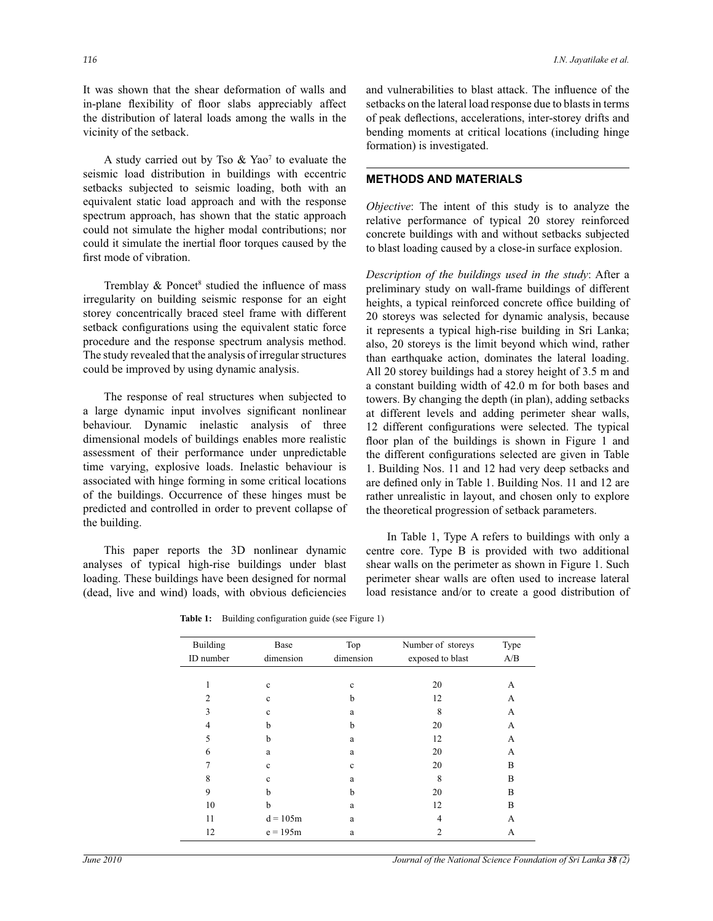It was shown that the shear deformation of walls and in-plane flexibility of floor slabs appreciably affect the distribution of lateral loads among the walls in the vicinity of the setback.

A study carried out by Tso  $\&$  Yao<sup>7</sup> to evaluate the seismic load distribution in buildings with eccentric setbacks subjected to seismic loading, both with an equivalent static load approach and with the response spectrum approach, has shown that the static approach could not simulate the higher modal contributions; nor could it simulate the inertial floor torques caused by the first mode of vibration.

Tremblay  $\&$  Poncet<sup>8</sup> studied the influence of mass irregularity on building seismic response for an eight storey concentrically braced steel frame with different setback configurations using the equivalent static force procedure and the response spectrum analysis method. The study revealed that the analysis of irregular structures could be improved by using dynamic analysis.

 The response of real structures when subjected to a large dynamic input involves significant nonlinear behaviour. Dynamic inelastic analysis of three dimensional models of buildings enables more realistic assessment of their performance under unpredictable time varying, explosive loads. Inelastic behaviour is associated with hinge forming in some critical locations of the buildings. Occurrence of these hinges must be predicted and controlled in order to prevent collapse of the building.

 This paper reports the 3D nonlinear dynamic analyses of typical high-rise buildings under blast loading. These buildings have been designed for normal (dead, live and wind) loads, with obvious deficiencies and vulnerabilities to blast attack. The influence of the setbacks on the lateral load response due to blasts in terms of peak deflections, accelerations, inter-storey drifts and bending moments at critical locations (including hinge formation) is investigated.

## **METHODS AND MATERIALS**

*Objective*: The intent of this study is to analyze the relative performance of typical 20 storey reinforced concrete buildings with and without setbacks subjected to blast loading caused by a close-in surface explosion.

*Description of the buildings used in the study*: After a preliminary study on wall-frame buildings of different heights, a typical reinforced concrete office building of 20 storeys was selected for dynamic analysis, because it represents a typical high-rise building in Sri Lanka; also, 20 storeys is the limit beyond which wind, rather than earthquake action, dominates the lateral loading. All 20 storey buildings had a storey height of 3.5 m and a constant building width of 42.0 m for both bases and towers. By changing the depth (in plan), adding setbacks at different levels and adding perimeter shear walls, 12 different configurations were selected. The typical floor plan of the buildings is shown in Figure 1 and the different configurations selected are given in Table 1. Building Nos. 11 and 12 had very deep setbacks and are defined only in Table 1. Building Nos. 11 and 12 are rather unrealistic in layout, and chosen only to explore the theoretical progression of setback parameters.

 In Table 1, Type A refers to buildings with only a centre core. Type B is provided with two additional shear walls on the perimeter as shown in Figure 1. Such perimeter shear walls are often used to increase lateral load resistance and/or to create a good distribution of

| Building<br>ID number | Base<br>dimension | Top<br>dimension | Number of storeys<br>exposed to blast | Type<br>A/B |
|-----------------------|-------------------|------------------|---------------------------------------|-------------|
|                       |                   |                  |                                       |             |
| 1                     | $\mathbf c$       | $\mathbf c$      | 20                                    | А           |
| $\mathfrak{D}$        | $\mathbf c$       | b                | 12                                    | А           |
| 3                     | $\mathbf c$       | a                | 8                                     | А           |
| 4                     | b                 | b                | 20                                    | А           |
| 5                     | b                 | a                | 12                                    | A           |
| 6                     | a                 | a                | 20                                    | А           |
|                       | $\mathbf c$       | $\mathbf c$      | 20                                    | B           |
| 8                     | $\mathbf c$       | a                | 8                                     | B           |
| 9                     | b                 | b                | 20                                    | B           |
| 10                    | b                 | a                | 12                                    | B           |
| 11                    | $d = 105m$        | a                | 4                                     | А           |
| 12                    | $e = 195m$        | a                | 2                                     | А           |

Table 1: Building configuration guide (see Figure 1)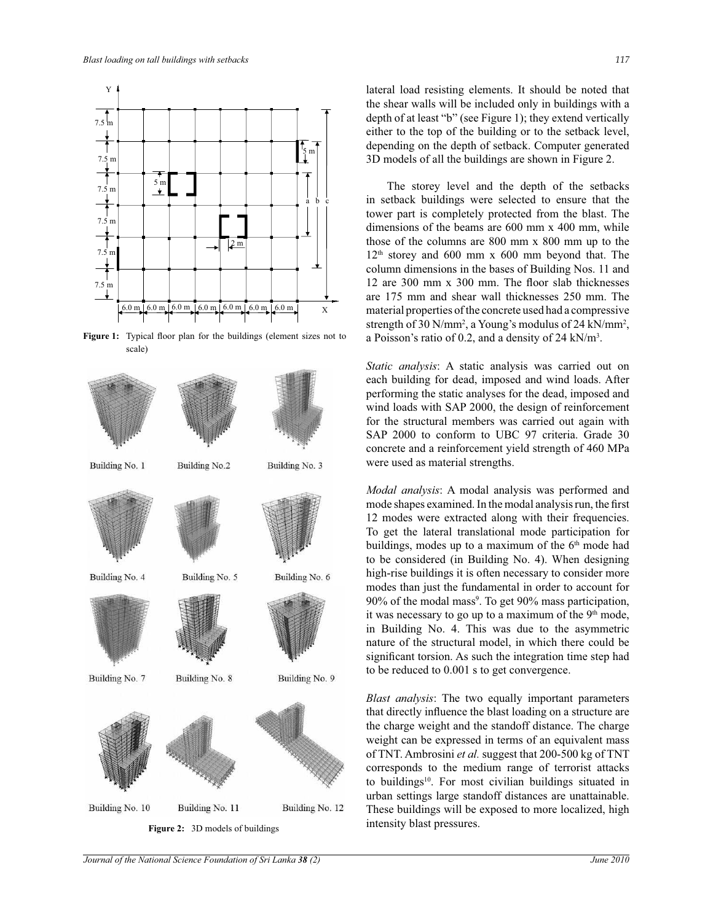

**Figure 1:** Typical floor plan for the buildings (element sizes not to scale)



**Figure 2:** 3D models of buildings

lateral load resisting elements. It should be noted that the shear walls will be included only in buildings with a depth of at least "b" (see Figure 1); they extend vertically either to the top of the building or to the setback level, depending on the depth of setback. Computer generated 3D models of all the buildings are shown in Figure 2.

 The storey level and the depth of the setbacks in setback buildings were selected to ensure that the tower part is completely protected from the blast. The dimensions of the beams are 600 mm x 400 mm, while those of the columns are 800 mm x 800 mm up to the  $12<sup>th</sup>$  storey and 600 mm x 600 mm beyond that. The column dimensions in the bases of Building Nos. 11 and 12 are 300 mm x 300 mm. The floor slab thicknesses are 175 mm and shear wall thicknesses 250 mm. The material properties of the concrete used had a compressive strength of 30 N/mm<sup>2</sup>, a Young's modulus of 24 kN/mm<sup>2</sup>, a Poisson's ratio of 0.2, and a density of 24 kN/m<sup>3</sup> .

*Static analysis*: A static analysis was carried out on each building for dead, imposed and wind loads. After performing the static analyses for the dead, imposed and wind loads with SAP 2000, the design of reinforcement for the structural members was carried out again with SAP 2000 to conform to UBC 97 criteria. Grade 30 concrete and a reinforcement yield strength of 460 MPa were used as material strengths.

*Modal analysis*: A modal analysis was performed and mode shapes examined. In the modal analysis run, the first 12 modes were extracted along with their frequencies. To get the lateral translational mode participation for buildings, modes up to a maximum of the  $6<sup>th</sup>$  mode had to be considered (in Building No. 4). When designing high-rise buildings it is often necessary to consider more modes than just the fundamental in order to account for 90% of the modal mass<sup>9</sup>. To get 90% mass participation, it was necessary to go up to a maximum of the  $9<sup>th</sup>$  mode, in Building No. 4. This was due to the asymmetric nature of the structural model, in which there could be significant torsion. As such the integration time step had to be reduced to 0.001 s to get convergence.

*Blast analysis*: The two equally important parameters that directly influence the blast loading on a structure are the charge weight and the standoff distance. The charge weight can be expressed in terms of an equivalent mass of TNT. Ambrosini *et al.* suggest that 200-500 kg of TNT corresponds to the medium range of terrorist attacks to buildings<sup>10</sup>. For most civilian buildings situated in urban settings large standoff distances are unattainable. These buildings will be exposed to more localized, high intensity blast pressures.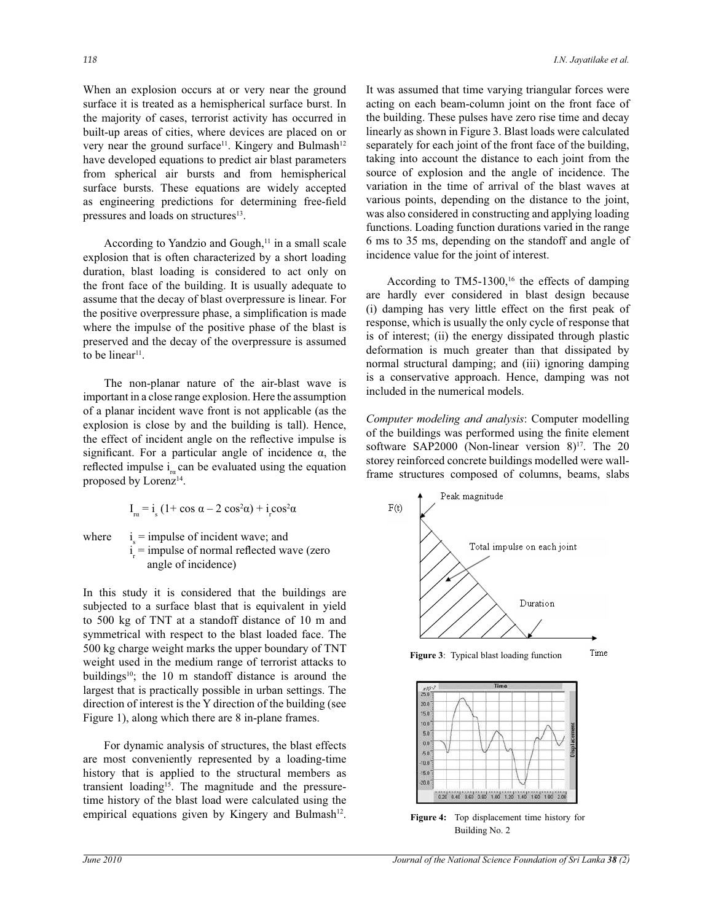When an explosion occurs at or very near the ground surface it is treated as a hemispherical surface burst. In the majority of cases, terrorist activity has occurred in built-up areas of cities, where devices are placed on or very near the ground surface<sup>11</sup>. Kingery and Bulmash<sup>12</sup> have developed equations to predict air blast parameters from spherical air bursts and from hemispherical surface bursts. These equations are widely accepted as engineering predictions for determining free-field pressures and loads on structures<sup>13</sup>.

According to Yandzio and Gough,<sup>11</sup> in a small scale explosion that is often characterized by a short loading duration, blast loading is considered to act only on the front face of the building. It is usually adequate to assume that the decay of blast overpressure is linear. For the positive overpressure phase, a simplification is made where the impulse of the positive phase of the blast is preserved and the decay of the overpressure is assumed to be linear<sup>11</sup>.

 The non-planar nature of the air-blast wave is important in a close range explosion. Here the assumption of a planar incident wave front is not applicable (as the explosion is close by and the building is tall). Hence, the effect of incident angle on the reflective impulse is significant. For a particular angle of incidence  $\alpha$ , the reflected impulse  $i_{\rm ra}$  can be evaluated using the equation proposed by Lorenz<sup>14</sup>.

$$
I_{ra} = i_s (1 + \cos \alpha - 2 \cos^2 \alpha) + i_r \cos^2 \alpha
$$

where  $s_{\rm s}$  = impulse of incident wave; and  $i_{\rm r}$  = impulse of normal reflected wave (zero angle of incidence)

In this study it is considered that the buildings are subjected to a surface blast that is equivalent in yield to 500 kg of TNT at a standoff distance of 10 m and symmetrical with respect to the blast loaded face. The 500 kg charge weight marks the upper boundary of TNT weight used in the medium range of terrorist attacks to buildings<sup>10</sup>; the 10 m standoff distance is around the largest that is practically possible in urban settings. The direction of interest is the Y direction of the building (see Figure 1), along which there are 8 in-plane frames.

 For dynamic analysis of structures, the blast effects are most conveniently represented by a loading-time history that is applied to the structural members as transient loading<sup>15</sup>. The magnitude and the pressuretime history of the blast load were calculated using the empirical equations given by Kingery and Bulmash $12$ . It was assumed that time varying triangular forces were acting on each beam-column joint on the front face of the building. These pulses have zero rise time and decay linearly as shown in Figure 3. Blast loads were calculated separately for each joint of the front face of the building, taking into account the distance to each joint from the source of explosion and the angle of incidence. The variation in the time of arrival of the blast waves at various points, depending on the distance to the joint, was also considered in constructing and applying loading functions. Loading function durations varied in the range 6 ms to 35 ms, depending on the standoff and angle of incidence value for the joint of interest.

According to  $TM5-1300$ ,<sup>16</sup> the effects of damping are hardly ever considered in blast design because (i) damping has very little effect on the first peak of response, which is usually the only cycle of response that is of interest; (ii) the energy dissipated through plastic deformation is much greater than that dissipated by normal structural damping; and (iii) ignoring damping is a conservative approach. Hence, damping was not included in the numerical models.

*Computer modeling and analysis*: Computer modelling of the buildings was performed using the finite element software SAP2000 (Non-linear version  $8$ )<sup>17</sup>. The 20 storey reinforced concrete buildings modelled were wallframe structures composed of columns, beams, slabs

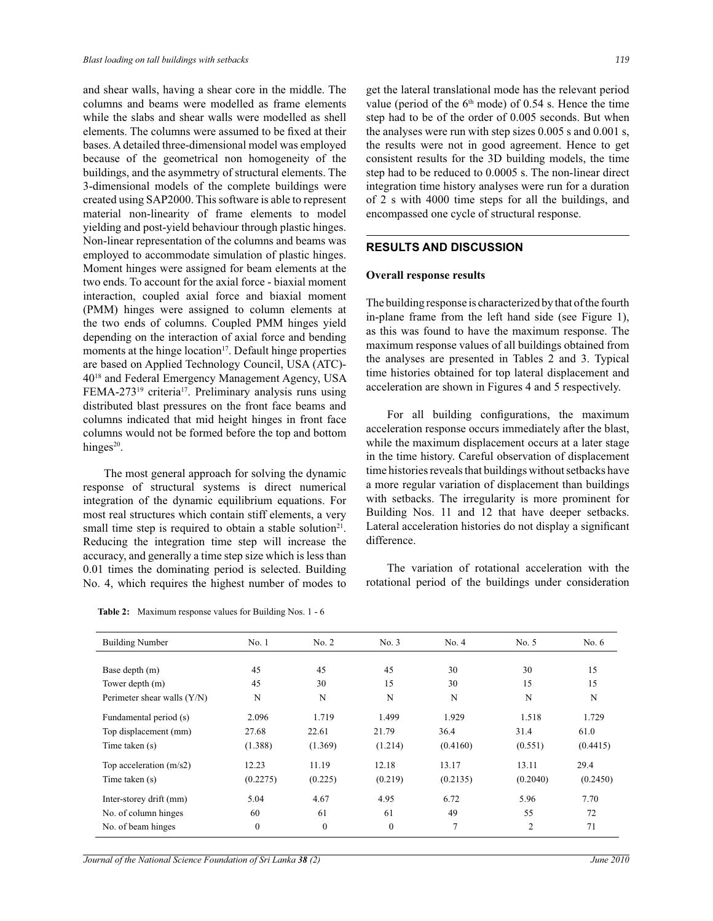and shear walls, having a shear core in the middle. The columns and beams were modelled as frame elements while the slabs and shear walls were modelled as shell elements. The columns were assumed to be fixed at their bases. A detailed three-dimensional model was employed because of the geometrical non homogeneity of the buildings, and the asymmetry of structural elements. The 3-dimensional models of the complete buildings were created using SAP2000. This software is able to represent material non-linearity of frame elements to model yielding and post-yield behaviour through plastic hinges. Non-linear representation of the columns and beams was employed to accommodate simulation of plastic hinges. Moment hinges were assigned for beam elements at the two ends. To account for the axial force - biaxial moment interaction, coupled axial force and biaxial moment (PMM) hinges were assigned to column elements at the two ends of columns. Coupled PMM hinges yield depending on the interaction of axial force and bending moments at the hinge location<sup>17</sup>. Default hinge properties are based on Applied Technology Council, USA (ATC)- 40<sup>18</sup> and Federal Emergency Management Agency, USA FEMA-273<sup>19</sup> criteria<sup>17</sup>. Preliminary analysis runs using distributed blast pressures on the front face beams and columns indicated that mid height hinges in front face columns would not be formed before the top and bottom hinges $20$ .

 The most general approach for solving the dynamic response of structural systems is direct numerical integration of the dynamic equilibrium equations. For most real structures which contain stiff elements, a very small time step is required to obtain a stable solution<sup>21</sup>. Reducing the integration time step will increase the accuracy, and generally a time step size which is less than 0.01 times the dominating period is selected. Building No. 4, which requires the highest number of modes to

get the lateral translational mode has the relevant period value (period of the  $6<sup>th</sup>$  mode) of 0.54 s. Hence the time step had to be of the order of 0.005 seconds. But when the analyses were run with step sizes 0.005 s and 0.001 s, the results were not in good agreement. Hence to get consistent results for the 3D building models, the time step had to be reduced to 0.0005 s. The non-linear direct integration time history analyses were run for a duration of 2 s with 4000 time steps for all the buildings, and encompassed one cycle of structural response.

## **RESULTS AND DISCUSSION**

#### **Overall response results**

The building response is characterized by that of the fourth in-plane frame from the left hand side (see Figure 1), as this was found to have the maximum response. The maximum response values of all buildings obtained from the analyses are presented in Tables 2 and 3. Typical time histories obtained for top lateral displacement and acceleration are shown in Figures 4 and 5 respectively.

 For all building configurations, the maximum acceleration response occurs immediately after the blast, while the maximum displacement occurs at a later stage in the time history. Careful observation of displacement time histories reveals that buildings without setbacks have a more regular variation of displacement than buildings with setbacks. The irregularity is more prominent for Building Nos. 11 and 12 that have deeper setbacks. Lateral acceleration histories do not display a significant difference.

 The variation of rotational acceleration with the rotational period of the buildings under consideration

| <b>Building Number</b>        | No.1         | No. 2        | No. 3        | No. 4    | No. 5          | No. $6$  |
|-------------------------------|--------------|--------------|--------------|----------|----------------|----------|
|                               |              |              |              |          |                |          |
| Base depth (m)                | 45           | 45           | 45           | 30       | 30             | 15       |
| Tower depth (m)               | 45           | 30           | 15           | 30       | 15             | 15       |
| Perimeter shear walls $(Y/N)$ | N            | N            | N            | N        | N              | N        |
| Fundamental period (s)        | 2.096        | 1.719        | 1.499        | 1.929    | 1.518          | 1.729    |
| Top displacement (mm)         | 27.68        | 22.61        | 21.79        | 36.4     | 31.4           | 61.0     |
| Time taken (s)                | (1.388)      | (1.369)      | (1.214)      | (0.4160) | (0.551)        | (0.4415) |
| Top acceleration $(m/s2)$     | 12.23        | 11.19        | 12.18        | 13.17    | 13.11          | 29.4     |
| Time taken (s)                | (0.2275)     | (0.225)      | (0.219)      | (0.2135) | (0.2040)       | (0.2450) |
| Inter-storey drift (mm)       | 5.04         | 4.67         | 4.95         | 6.72     | 5.96           | 7.70     |
| No. of column hinges          | 60           | 61           | 61           | 49       | 55             | 72       |
| No. of beam hinges            | $\mathbf{0}$ | $\mathbf{0}$ | $\mathbf{0}$ | 7        | $\overline{2}$ | 71       |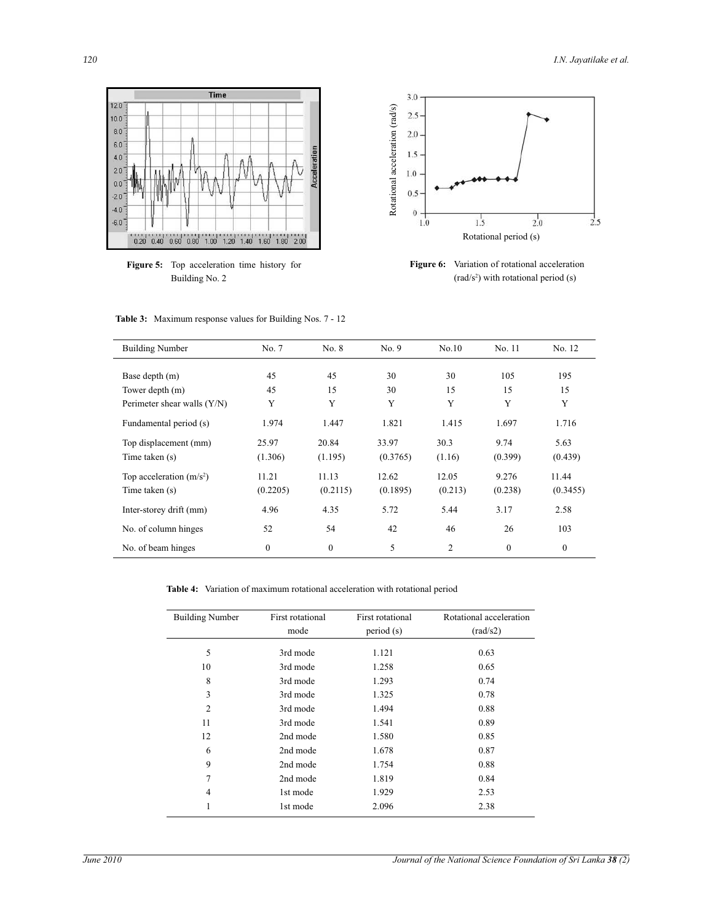

**Figure 5:** Top acceleration time history for Building No. 2



**Figure 6:** Variation of rotational acceleration  $\text{(rad/s}^2)$  with rotational period  $\text{(s)}$ 

|  | <b>Table 3:</b> Maximum response values for Building Nos. 7 - 12 |  |  |  |  |  |  |  |
|--|------------------------------------------------------------------|--|--|--|--|--|--|--|
|--|------------------------------------------------------------------|--|--|--|--|--|--|--|

| <b>Building Number</b>        | No. 7    | No. 8    | No.9     | No.10   | No. 11   | No. 12       |
|-------------------------------|----------|----------|----------|---------|----------|--------------|
|                               |          |          |          |         |          |              |
| Base depth (m)                | 45       | 45       | 30       | 30      | 105      | 195          |
| Tower depth (m)               | 45       | 15       | 30       | 15      | 15       | 15           |
| Perimeter shear walls $(Y/N)$ | Y        | Y        | Y        | Y       | Y        | Y            |
| Fundamental period (s)        | 1.974    | 1.447    | 1.821    | 1.415   | 1.697    | 1.716        |
| Top displacement (mm)         | 25.97    | 20.84    | 33.97    | 30.3    | 9.74     | 5.63         |
| Time taken (s)                | (1.306)  | (1.195)  | (0.3765) | (1.16)  | (0.399)  | (0.439)      |
| Top acceleration $(m/s2)$     | 11.21    | 11.13    | 12.62    | 12.05   | 9.276    | 11.44        |
| Time taken (s)                | (0.2205) | (0.2115) | (0.1895) | (0.213) | (0.238)  | (0.3455)     |
| Inter-storey drift (mm)       | 4.96     | 4.35     | 5.72     | 5.44    | 3.17     | 2.58         |
| No. of column hinges          | 52       | 54       | 42       | 46      | 26       | 103          |
| No. of beam hinges            | $\Omega$ | $\Omega$ | 5        | 2       | $\Omega$ | $\mathbf{0}$ |

**Table 4:** Variation of maximum rotational acceleration with rotational period

| <b>Building Number</b> | First rotational<br>mode | First rotational<br>period(s) | Rotational acceleration<br>(rad/s2) |  |  |
|------------------------|--------------------------|-------------------------------|-------------------------------------|--|--|
|                        |                          |                               |                                     |  |  |
| 5                      | 3rd mode                 | 1.121                         | 0.63                                |  |  |
| 10                     | 3rd mode                 | 1.258                         | 0.65                                |  |  |
| 8                      | 3rd mode                 | 1.293                         | 0.74                                |  |  |
| 3                      | 3rd mode                 | 1.325                         | 0.78                                |  |  |
| $\overline{2}$         | 3rd mode                 | 1.494                         | 0.88                                |  |  |
| 11                     | 3rd mode                 | 1.541                         | 0.89                                |  |  |
| 12                     | 2nd mode                 | 1.580                         | 0.85                                |  |  |
| 6                      | 2nd mode                 | 1.678                         | 0.87                                |  |  |
| 9                      | 2nd mode                 | 1.754                         | 0.88                                |  |  |
| $\overline{7}$         | 2nd mode                 | 1.819                         | 0.84                                |  |  |
| 4                      | 1st mode                 | 1.929                         | 2.53                                |  |  |
| 1                      | 1st mode                 | 2.096                         | 2.38                                |  |  |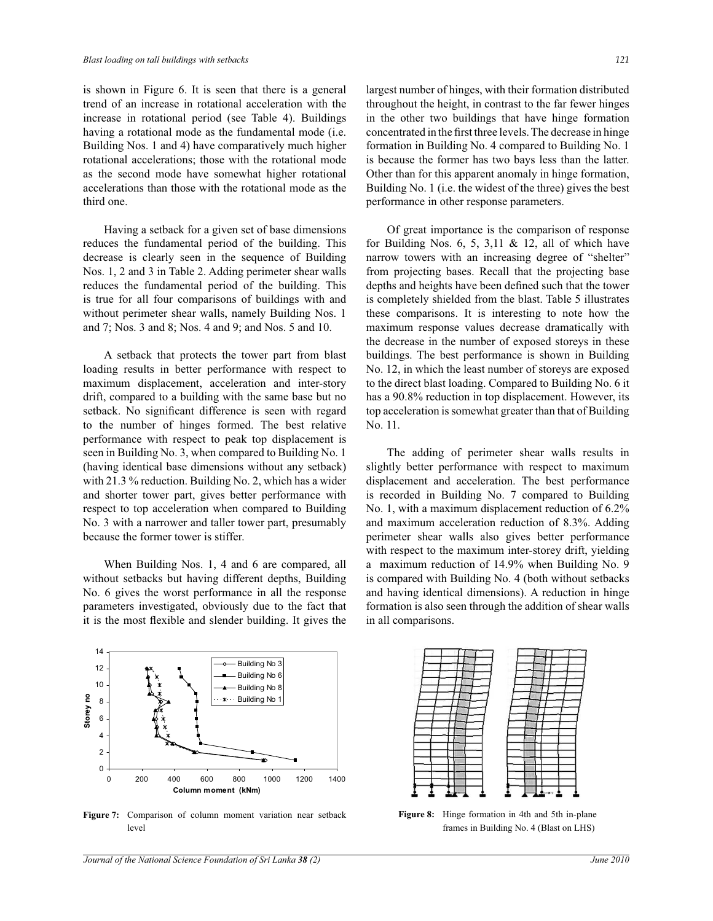is shown in Figure 6. It is seen that there is a general trend of an increase in rotational acceleration with the increase in rotational period (see Table 4). Buildings having a rotational mode as the fundamental mode (i.e. Building Nos. 1 and 4) have comparatively much higher rotational accelerations; those with the rotational mode as the second mode have somewhat higher rotational accelerations than those with the rotational mode as the third one.

 Having a setback for a given set of base dimensions reduces the fundamental period of the building. This decrease is clearly seen in the sequence of Building Nos. 1, 2 and 3 in Table 2. Adding perimeter shear walls reduces the fundamental period of the building. This is true for all four comparisons of buildings with and without perimeter shear walls, namely Building Nos. 1 and 7; Nos. 3 and 8; Nos. 4 and 9; and Nos. 5 and 10.

 A setback that protects the tower part from blast loading results in better performance with respect to maximum displacement, acceleration and inter-story drift, compared to a building with the same base but no setback. No significant difference is seen with regard to the number of hinges formed. The best relative performance with respect to peak top displacement is seen in Building No. 3, when compared to Building No. 1 (having identical base dimensions without any setback) with 21.3 % reduction. Building No. 2, which has a wider and shorter tower part, gives better performance with respect to top acceleration when compared to Building No. 3 with a narrower and taller tower part, presumably because the former tower is stiffer.

 When Building Nos. 1, 4 and 6 are compared, all without setbacks but having different depths, Building No. 6 gives the worst performance in all the response parameters investigated, obviously due to the fact that it is the most flexible and slender building. It gives the



 Of great importance is the comparison of response for Building Nos. 6, 5, 3,11  $& 12$ , all of which have narrow towers with an increasing degree of "shelter" from projecting bases. Recall that the projecting base depths and heights have been defined such that the tower is completely shielded from the blast. Table 5 illustrates these comparisons. It is interesting to note how the maximum response values decrease dramatically with the decrease in the number of exposed storeys in these buildings. The best performance is shown in Building No. 12, in which the least number of storeys are exposed to the direct blast loading. Compared to Building No. 6 it has a 90.8% reduction in top displacement. However, its top acceleration is somewhat greater than that of Building No. 11.

 The adding of perimeter shear walls results in slightly better performance with respect to maximum displacement and acceleration. The best performance is recorded in Building No. 7 compared to Building No. 1, with a maximum displacement reduction of 6.2% and maximum acceleration reduction of 8.3%. Adding perimeter shear walls also gives better performance with respect to the maximum inter-storey drift, yielding a maximum reduction of 14.9% when Building No. 9 is compared with Building No. 4 (both without setbacks and having identical dimensions). A reduction in hinge formation is also seen through the addition of shear walls in all comparisons.



**Figure 7:** Comparison of column moment variation near setback level



**Figure 8:** Hinge formation in 4th and 5th in-plane frames in Building No. 4 (Blast on LHS)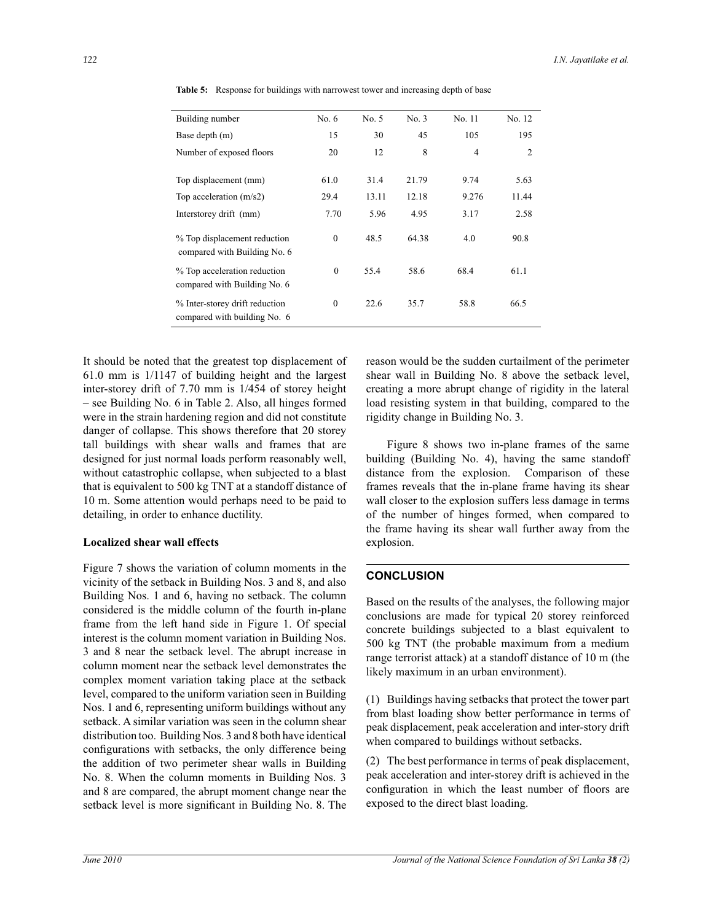| Building number                                                | No. $6$  | No. 5 | No. 3 | No. 11         | No. 12 |
|----------------------------------------------------------------|----------|-------|-------|----------------|--------|
| Base depth (m)                                                 | 15       | 30    | 45    | 105            | 195    |
| Number of exposed floors                                       | 20       | 12    | 8     | $\overline{4}$ | 2      |
|                                                                |          |       |       |                |        |
| Top displacement (mm)                                          | 61.0     | 31.4  | 21.79 | 9.74           | 5.63   |
| Top acceleration $(m/s2)$                                      | 29.4     | 13.11 | 12.18 | 9.276          | 11.44  |
| Interstorey drift (mm)                                         | 7.70     | 5.96  | 4.95  | 3.17           | 2.58   |
| % Top displacement reduction<br>compared with Building No. 6   | $\theta$ | 48.5  | 64.38 | 4.0            | 90.8   |
| % Top acceleration reduction<br>compared with Building No. 6   | $\theta$ | 55.4  | 58.6  | 68.4           | 61.1   |
| % Inter-storey drift reduction<br>compared with building No. 6 | $\theta$ | 22.6  | 35.7  | 58.8           | 66.5   |

**Table 5:** Response for buildings with narrowest tower and increasing depth of base

It should be noted that the greatest top displacement of 61.0 mm is 1/1147 of building height and the largest inter-storey drift of 7.70 mm is 1/454 of storey height – see Building No. 6 in Table 2. Also, all hinges formed were in the strain hardening region and did not constitute danger of collapse. This shows therefore that 20 storey tall buildings with shear walls and frames that are designed for just normal loads perform reasonably well, without catastrophic collapse, when subjected to a blast that is equivalent to 500 kg TNT at a standoff distance of 10 m. Some attention would perhaps need to be paid to detailing, in order to enhance ductility.

#### **Localized shear wall effects**

Figure 7 shows the variation of column moments in the vicinity of the setback in Building Nos. 3 and 8, and also Building Nos. 1 and 6, having no setback. The column considered is the middle column of the fourth in-plane frame from the left hand side in Figure 1. Of special interest is the column moment variation in Building Nos. 3 and 8 near the setback level. The abrupt increase in column moment near the setback level demonstrates the complex moment variation taking place at the setback level, compared to the uniform variation seen in Building Nos. 1 and 6, representing uniform buildings without any setback. A similar variation was seen in the column shear distribution too. Building Nos. 3 and 8 both have identical configurations with setbacks, the only difference being the addition of two perimeter shear walls in Building No. 8. When the column moments in Building Nos. 3 and 8 are compared, the abrupt moment change near the setback level is more significant in Building No. 8. The reason would be the sudden curtailment of the perimeter shear wall in Building No. 8 above the setback level, creating a more abrupt change of rigidity in the lateral load resisting system in that building, compared to the rigidity change in Building No. 3.

 Figure 8 shows two in-plane frames of the same building (Building No. 4), having the same standoff distance from the explosion. Comparison of these frames reveals that the in-plane frame having its shear wall closer to the explosion suffers less damage in terms of the number of hinges formed, when compared to the frame having its shear wall further away from the explosion.

## **CONCLUSION**

Based on the results of the analyses, the following major conclusions are made for typical 20 storey reinforced concrete buildings subjected to a blast equivalent to 500 kg TNT (the probable maximum from a medium range terrorist attack) at a standoff distance of 10 m (the likely maximum in an urban environment).

(1) Buildings having setbacks that protect the tower part from blast loading show better performance in terms of peak displacement, peak acceleration and inter-story drift when compared to buildings without setbacks.

(2) The best performance in terms of peak displacement, peak acceleration and inter-storey drift is achieved in the configuration in which the least number of floors are exposed to the direct blast loading.